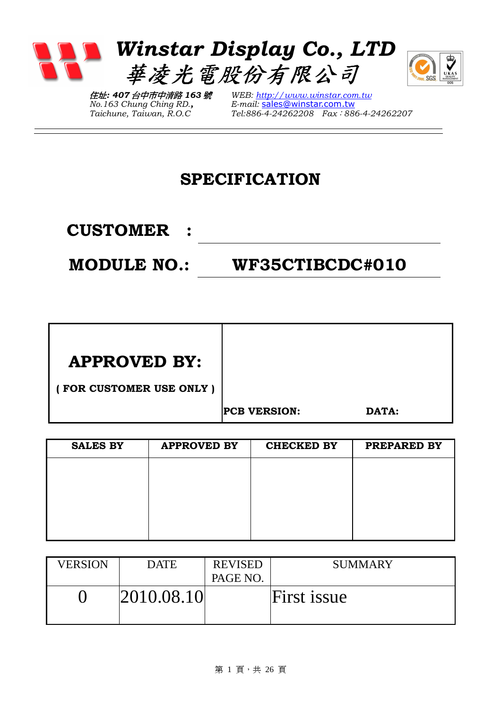

住址: 407 台中市中清路 163 號 No.163 Chung Ching RD., Taichune, Taiwan, R.O.C

WEB: http://www.winstar.com.tw E-mail: sales@winstar.com.tw Tel:886-4-24262208 Fax:886-4-24262207

### SPECIFICATION

CUSTOMER :

MODULE NO.: WF35CTIBCDC#010

| <b>APPROVED BY:</b>     |                     |       |
|-------------------------|---------------------|-------|
| (FOR CUSTOMER USE ONLY) |                     |       |
|                         | <b>PCB VERSION:</b> | DATA: |

| <b>SALES BY</b> | <b>APPROVED BY</b> | <b>CHECKED BY</b> | PREPARED BY |
|-----------------|--------------------|-------------------|-------------|
|                 |                    |                   |             |
|                 |                    |                   |             |
|                 |                    |                   |             |
|                 |                    |                   |             |
|                 |                    |                   |             |

| <b>VERSION</b> | <b>DATE</b> | <b>REVISED</b><br>PAGE NO. | <b>SUMMARY</b> |
|----------------|-------------|----------------------------|----------------|
|                | 2010.08.10  |                            | First issue    |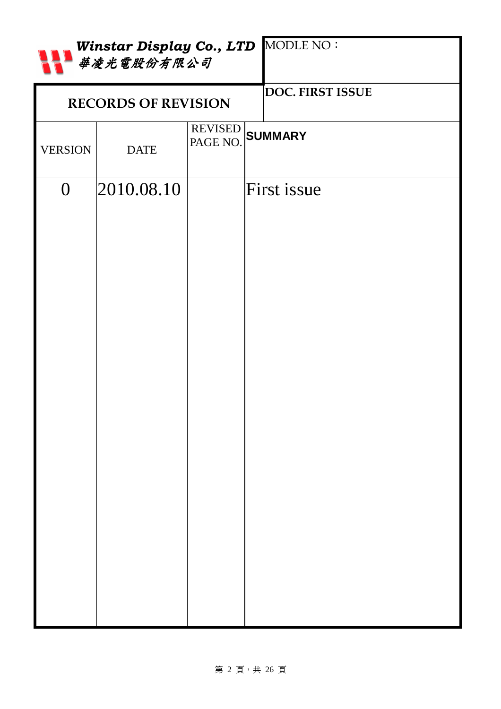|                | Winstar Display Co., LTD MODLE NO:<br>華凌光電股份有限公司 |  |                             |  |  |  |
|----------------|--------------------------------------------------|--|-----------------------------|--|--|--|
|                | <b>RECORDS OF REVISION</b>                       |  | DOC. FIRST ISSUE            |  |  |  |
| <b>VERSION</b> | <b>DATE</b>                                      |  | REVISED<br>PAGE NO. SUMMARY |  |  |  |
| $\overline{0}$ | 2010.08.10                                       |  | First issue                 |  |  |  |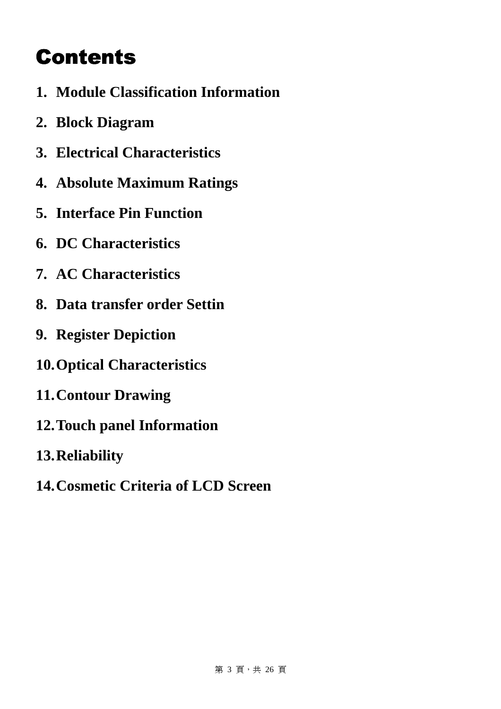# **Contents**

- **1. Module Classification Information**
- **2. Block Diagram**
- **3. Electrical Characteristics**
- **4. Absolute Maximum Ratings**
- **5. Interface Pin Function**
- **6. DC Characteristics**
- **7. AC Characteristics**
- **8. Data transfer order Settin**
- **9. Register Depiction**
- **10.Optical Characteristics**
- **11.Contour Drawing**
- **12.Touch panel Information**
- **13.Reliability**
- **14.Cosmetic Criteria of LCD Screen**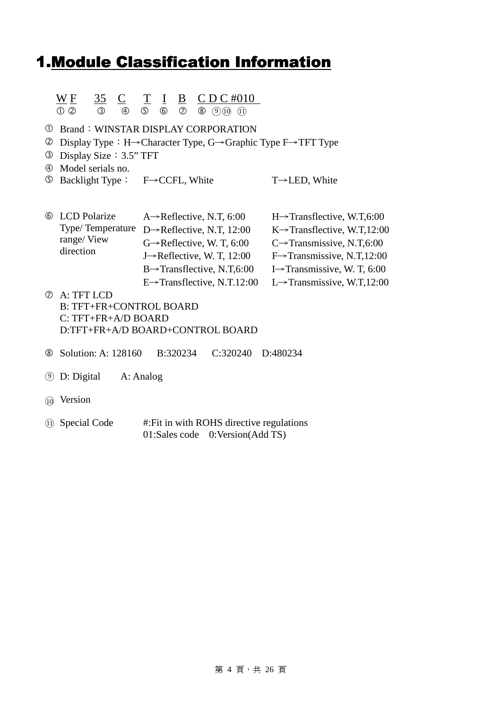### 1. Module Classification Information

#### $W F$  35 C T I B CDC#010  $\frac{W}{P}$ **3** 4 5 6 7 8 9 10 11

- Brand:WINSTAR DISPLAY CORPORATION
- Display Type:H→Character Type, G→Graphic Type F→TFT Type
- Display Size:3.5" TFT
- Model serials no.
- Backlight Type: F→CCFL, White T→LED, White

| <b>6</b> LCD Polarize | A $\rightarrow$ Reflective, N.T, 6:00    | $H\rightarrow$ Transflective, W.T.6:00   |
|-----------------------|------------------------------------------|------------------------------------------|
| Type/Temperature      | D $\rightarrow$ Reflective, N.T, 12:00   | $K \rightarrow$ Transflective, W.T.12:00 |
| range/View            | $G \rightarrow$ Reflective, W. T, 6:00   | $C\rightarrow$ Transmissive, N.T,6:00    |
| direction             | J $\rightarrow$ Reflective, W. T, 12:00  | $F\rightarrow$ Transmissive, N.T,12:00   |
|                       | $B \rightarrow$ Transflective, N.T,6:00  | I $\rightarrow$ Transmissive, W. T, 6:00 |
|                       | E $\rightarrow$ Transflective, N.T.12:00 | L $\rightarrow$ Transmissive, W.T.12:00  |

- A: TFT LCD B: TFT+FR+CONTROL BOARD C: TFT+FR+A/D BOARD D:TFT+FR+A/D BOARD+CONTROL BOARD
- Solution: A: 128160 B:320234 C:320240 D:480234
- **9** D: Digital A: Analog
- ○10 Version
- ○<sup>11</sup> Special Code #:Fit in with ROHS directive regulations 01:Sales code 0:Version(Add TS)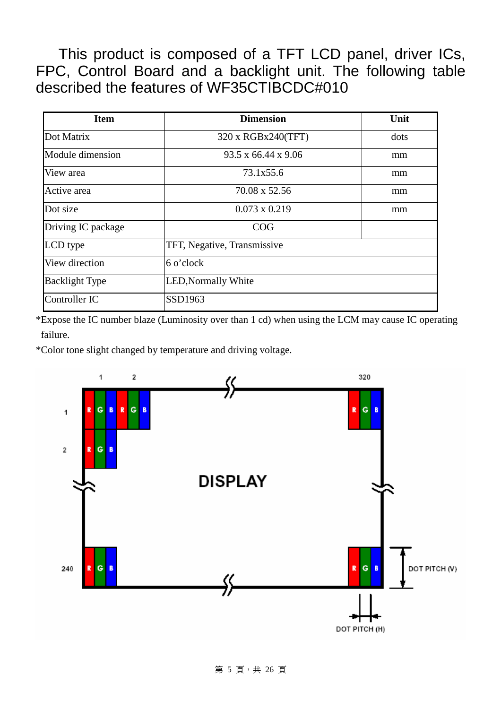This product is composed of a TFT LCD panel, driver ICs, FPC, Control Board and a backlight unit. The following table described the features of WF35CTIBCDC#010

| <b>Item</b>           | <b>Dimension</b>                | Unit |
|-----------------------|---------------------------------|------|
| Dot Matrix            | 320 x RGBx240(TFT)              | dots |
| Module dimension      | $93.5 \times 66.44 \times 9.06$ | mm   |
| View area             | 73.1x55.6                       | mm   |
| Active area           | 70.08 x 52.56                   | mm   |
| Dot size              | $0.073 \times 0.219$            | mm   |
| Driving IC package    | COG                             |      |
| LCD type              | TFT, Negative, Transmissive     |      |
| View direction        | 6 o'clock                       |      |
| <b>Backlight Type</b> | <b>LED, Normally White</b>      |      |
| Controller IC         | SSD1963                         |      |

\*Expose the IC number blaze (Luminosity over than 1 cd) when using the LCM may cause IC operating failure.

\*Color tone slight changed by temperature and driving voltage.

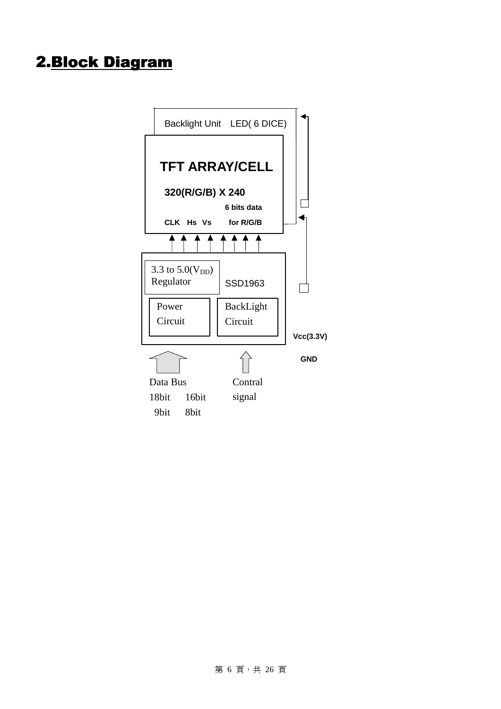### 2. Block Diagram

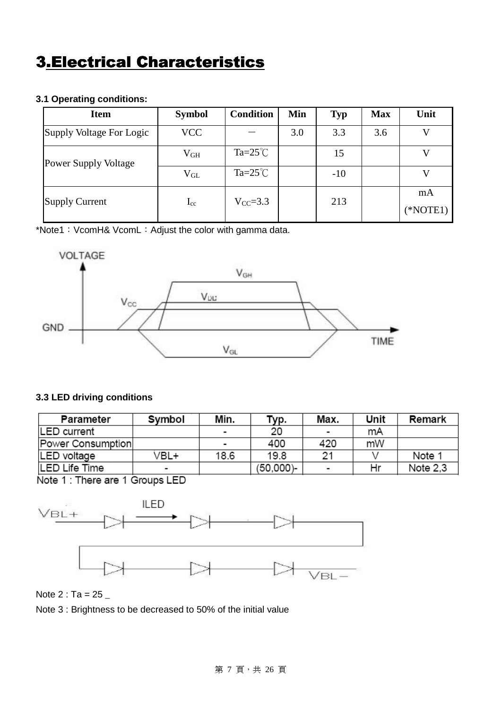### **3.Electrical Characteristics**

#### **3.1 Operating conditions:**

| <b>Item</b>                 | <b>Symbol</b> | <b>Condition</b>   | Min | <b>Typ</b> | <b>Max</b> | Unit       |
|-----------------------------|---------------|--------------------|-----|------------|------------|------------|
| Supply Voltage For Logic    | <b>VCC</b>    |                    | 3.0 | 3.3        | 3.6        |            |
| <b>Power Supply Voltage</b> | $\rm V_{GH}$  | $Ta = 25^{\circ}C$ |     | 15         |            |            |
|                             | $V_{GL}$      | $Ta = 25^{\circ}C$ |     | $-10$      |            |            |
| <b>Supply Current</b>       | $I_{cc}$      | $V_{CC} = 3.3$     |     | 213        |            | mA         |
|                             |               |                    |     |            |            | $(*NOTE1)$ |

\*Note1:VcomH& VcomL:Adjust the color with gamma data.



#### **3.3 LED driving conditions**

| Parameter         | Symbol                   | Min.                     | Typ.      | Max.                     | Unit | Remark   |
|-------------------|--------------------------|--------------------------|-----------|--------------------------|------|----------|
| LED current       |                          | $\overline{\phantom{0}}$ | 20        | $\overline{\phantom{a}}$ | mA   |          |
| Power Consumption |                          | $\overline{\phantom{a}}$ | 400       | 420                      | mW   |          |
| LED voltage       | /BL+                     | 18.6                     | 19.8      | 21                       |      | Note 1   |
| LED Life Time     | $\overline{\phantom{0}}$ |                          | (50,000)- | $\blacksquare$           | Hr   | Note 2.3 |

Note 1 : There are 1 Groups LED



Note  $2: Ta = 25$ 

Note 3 : Brightness to be decreased to 50% of the initial value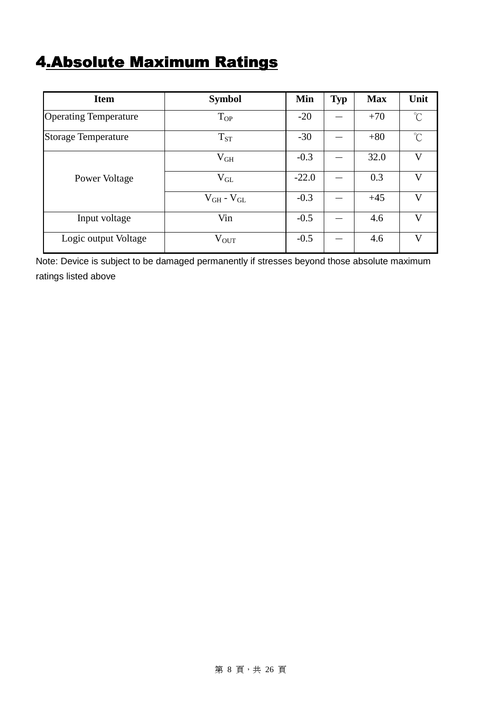## 4.Absolute Maximum Ratings

| <b>Item</b>                  | <b>Symbol</b>       | Min     | <b>Typ</b> | <b>Max</b> | Unit                |
|------------------------------|---------------------|---------|------------|------------|---------------------|
| <b>Operating Temperature</b> | $T_{OP}$            | $-20$   |            | $+70$      | $\int_{0}^{\infty}$ |
| <b>Storage Temperature</b>   | $T_{ST}$            | $-30$   |            | $+80$      | $\gamma^{\circ}$    |
|                              | $V_{GH}$            | $-0.3$  |            | 32.0       | $\mathbf{V}$        |
| Power Voltage                | $V_{GL}$            | $-22.0$ |            | 0.3        | $\mathbf{V}$        |
|                              | $V_{GH}$ - $V_{GL}$ | $-0.3$  |            | $+45$      | V                   |
| Input voltage                | Vin                 | $-0.5$  |            | 4.6        | $\mathbf{V}$        |
| Logic output Voltage         | $V_{OUT}$           | $-0.5$  |            | 4.6        | V                   |

Note: Device is subject to be damaged permanently if stresses beyond those absolute maximum ratings listed above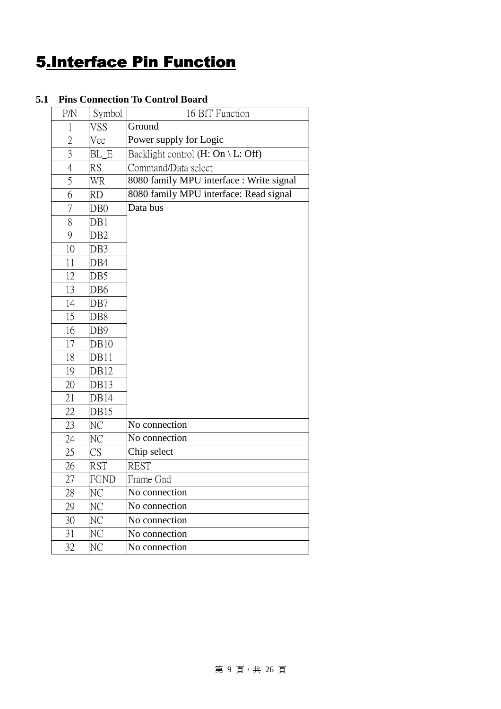### **5.Interface Pin Function**

#### P/N Symbol 16 BIT Function 1 VSS Ground 2 Vcc Power supply for Logic 3 BL E Backlight control  $(H: On \ L: Off)$ 4 RS Command/Data select 5 WR 8080 family MPU interface : Write signal 6 RD 8080 family MPU interface: Read signal 7 DB0 8 DB1 9 DB2 10 DB3 11 DB4 12 DB5 13 DB6 14 DB7 15 DB8 16 DB9 17 DB10 18 DB11 19 DB12 20 DB13 21 DB14 22 DB15 Data bus 23 NC No connection 24 NC No connection 25 CS Chip select 26 RST REST 27 FGND Frame Gnd 28 NC No connection 29 NC No connection 30 NC No connection 31 NC No connection

32 NC No connection

#### **5.1 Pins Connection To Control Board**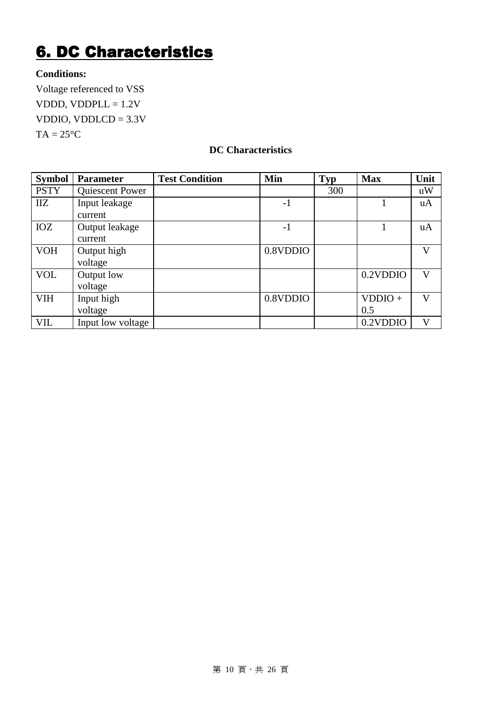### **6. DC Characteristics**

#### **Conditions:**

Voltage referenced to VSS VDDD, VDDPL $L = 1.2V$ VDDIO, VDDLCD =  $3.3V$  $TA = 25^{\circ}C$ 

#### **DC Characteristics**

| <b>Symbol</b> | Parameter         | <b>Test Condition</b> | Min      | <b>Typ</b> | <b>Max</b> | Unit         |
|---------------|-------------------|-----------------------|----------|------------|------------|--------------|
| <b>PSTY</b>   | Quiescent Power   |                       |          | 300        |            | uW           |
| <b>IIZ</b>    | Input leakage     |                       | $-1$     |            |            | uA           |
|               | current           |                       |          |            |            |              |
| IOZ           | Output leakage    |                       | $-1$     |            |            | uA           |
|               | current           |                       |          |            |            |              |
| <b>VOH</b>    | Output high       |                       | 0.8VDDIO |            |            | V            |
|               | voltage           |                       |          |            |            |              |
| <b>VOL</b>    | Output low        |                       |          |            | 0.2VDDIO   | V            |
|               | voltage           |                       |          |            |            |              |
| <b>VIH</b>    | Input high        |                       | 0.8VDDIO |            | $VDDIO +$  | $\mathbf{V}$ |
|               | voltage           |                       |          |            | 0.5        |              |
| VIL           | Input low voltage |                       |          |            | 0.2VDDIO   | V            |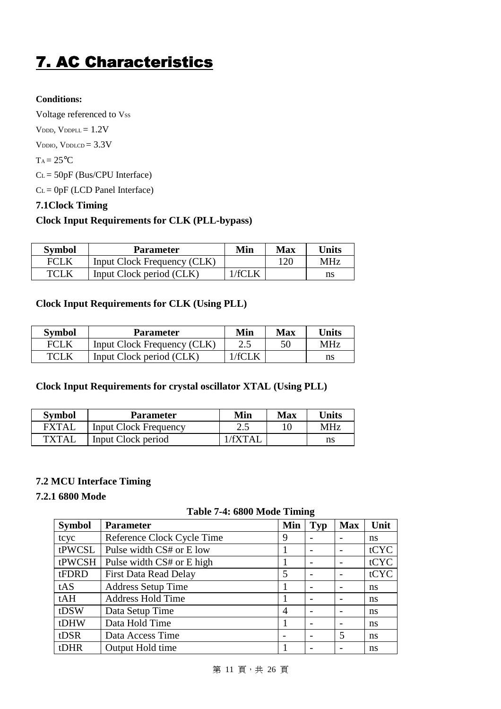## 7. AC Characteristics

#### **Conditions:**

Voltage referenced to Vss V<sub>DDD</sub>, V<sub>DDPLL</sub> =  $1.2V$ V<sub>DDIO</sub>, V<sub>DDLCD</sub> =  $3.3V$  $T_A = 25$ <sup>o</sup>C CL = 50pF (Bus/CPU Interface)  $C<sub>L</sub> = 0pF$  (LCD Panel Interface)

#### **7.1Clock Timing**

#### **Clock Input Requirements for CLK (PLL-bypass)**

| <b>Symbol</b> | <b>Parameter</b>            | Min    | Max | Units      |
|---------------|-----------------------------|--------|-----|------------|
| FCLK          | Input Clock Frequency (CLK) |        | 120 | <b>MHz</b> |
| <b>TCLK</b>   | Input Clock period (CLK)    | /fCI K |     | ns         |

#### **Clock Input Requirements for CLK (Using PLL)**

| <b>Symbol</b> | <b>Parameter</b>            | Min   | Max | Units      |
|---------------|-----------------------------|-------|-----|------------|
| FCLK          | Input Clock Frequency (CLK) |       | 50  | <b>MHz</b> |
| TCLK          | Input Clock period (CLK)    | /fCLK |     | ns         |

#### **Clock Input Requirements for crystal oscillator XTAL (Using PLL)**

| <b>Symbol</b> | <b>Parameter</b>             | Min       | Max | Units      |
|---------------|------------------------------|-----------|-----|------------|
| <b>FXTAI</b>  | <b>Input Clock Frequency</b> | 2.5       |     | <b>MHz</b> |
| <b>TXTAL</b>  | Input Clock period           | / $fYTAI$ |     | ns         |

#### **7.2 MCU Interface Timing**

#### **7.2.1 6800 Mode**

| <b>Symbol</b> | <b>Parameter</b>             | Min            | Typ | <b>Max</b>               | Unit          |
|---------------|------------------------------|----------------|-----|--------------------------|---------------|
| tcyc          | Reference Clock Cycle Time   | 9              |     |                          | ns            |
| tPWCSL        | Pulse width CS# or E low     |                |     |                          | tCYC          |
| tPWCSH        | Pulse width CS# or E high    |                |     |                          | tCYC          |
| tFDRD         | <b>First Data Read Delay</b> | 5              |     |                          | tCYC          |
| tAS           | <b>Address Setup Time</b>    |                |     | $\overline{\phantom{0}}$ | ns            |
| tAH           | <b>Address Hold Time</b>     |                |     |                          | <sub>ns</sub> |
| tDSW          | Data Setup Time              | $\overline{A}$ |     |                          | ns            |
| tDHW          | Data Hold Time               |                |     |                          | ns            |
| tDSR          | Data Access Time             |                |     | 5                        | <sub>ns</sub> |
| tDHR          | Output Hold time             |                |     |                          | ns            |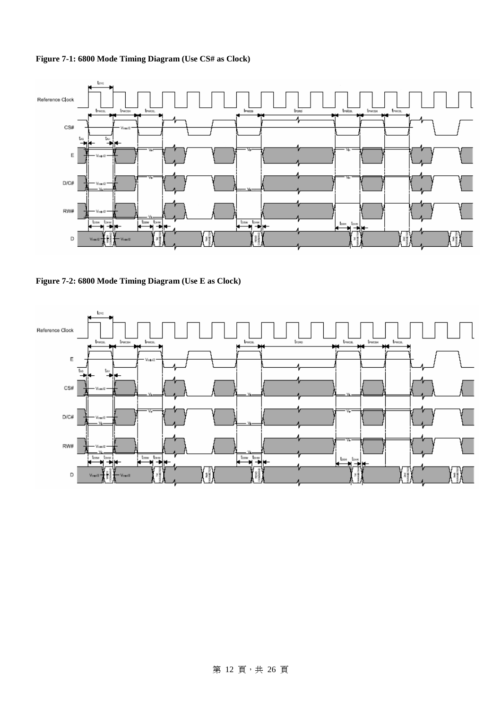**Figure 7-1: 6800 Mode Timing Diagram (Use CS# as Clock)**



**Figure 7-2: 6800 Mode Timing Diagram (Use E as Clock)**

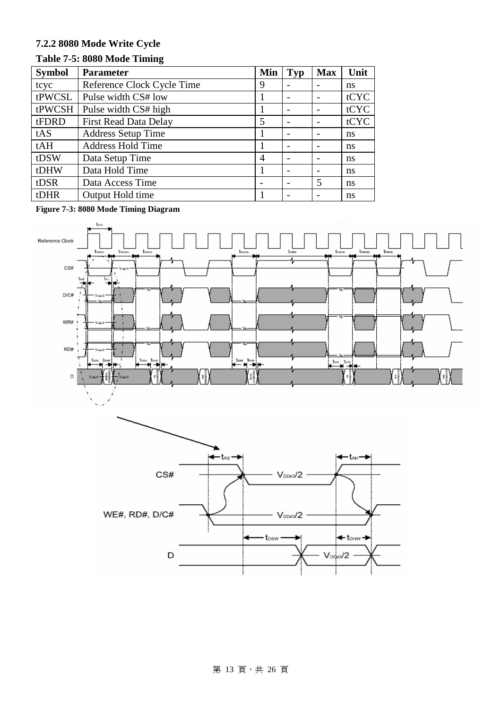### **7.2.2 8080 Mode Write Cycle**

#### **Table 7-5: 8080 Mode Timing**

| <b>Symbol</b> | <b>Parameter</b>             | Min | <b>Typ</b> | <b>Max</b>               | Unit |
|---------------|------------------------------|-----|------------|--------------------------|------|
| tcyc          | Reference Clock Cycle Time   | 9   |            |                          | ns   |
| tPWCSL        | Pulse width CS# low          |     |            | $\overline{\phantom{0}}$ | tCYC |
| tPWCSH        | Pulse width CS# high         |     |            |                          | tCYC |
| tFDRD         | <b>First Read Data Delay</b> | 5   |            | $\overline{\phantom{a}}$ | tCYC |
| tAS           | <b>Address Setup Time</b>    |     |            |                          | ns   |
| tAH           | <b>Address Hold Time</b>     |     |            |                          | ns   |
| tDSW          | Data Setup Time              | 4   |            |                          | ns   |
| tDHW          | Data Hold Time               |     |            | $\overline{\phantom{0}}$ | ns   |
| tDSR          | Data Access Time             |     |            | 5                        | ns   |
| tDHR          | Output Hold time             |     |            |                          | ns   |

**Figure 7-3: 8080 Mode Timing Diagram**





#### 第 13 頁, 共 26 頁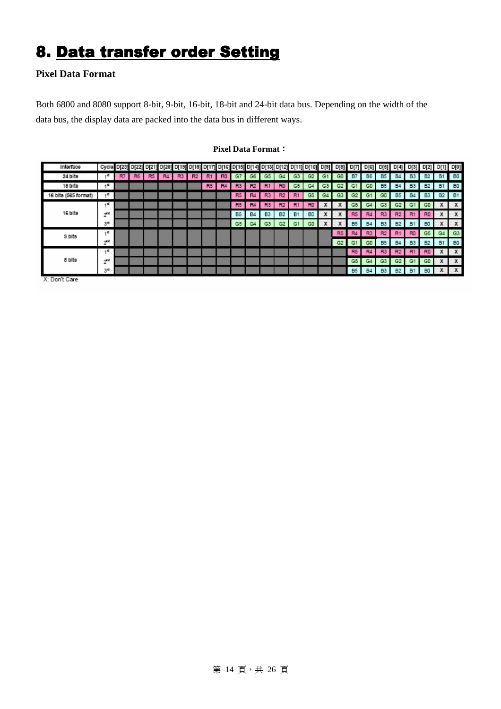### 8. Data transfer order Setting

#### **Pixel Data Format**

Both 6800 and 8080 support 8-bit, 9-bit, 16-bit, 18-bit and 24-bit data bus. Depending on the width of the data bus, the display data are packed into the data bus in different ways.

| Interface            |                |    |                |    |    |                |                |                |                |                |                |                |                |           | Cycle D[23] D[22] D[21] D[20] D[13] D[18] D[17] D[16] D[15] D[14] D[13] D[12] D[11] D[10] D[9] |                | D[8]           | 이기             | D[e]           |                | D[5] D[4] | D[3]           | D[2]           | D[1] D[0] |                  |
|----------------------|----------------|----|----------------|----|----|----------------|----------------|----------------|----------------|----------------|----------------|----------------|----------------|-----------|------------------------------------------------------------------------------------------------|----------------|----------------|----------------|----------------|----------------|-----------|----------------|----------------|-----------|------------------|
| 24 bits              |                | R7 | R <sub>6</sub> | R5 | R4 | R <sub>3</sub> | R <sub>2</sub> | R1             | R <sub>0</sub> | G7             | G6             | G5             | G4             | G3        | G2                                                                                             | G1             | G <sub>0</sub> | <b>B7</b>      | B <sub>6</sub> | B <sub>5</sub> | <b>B4</b> | <b>B3</b>      | <b>B2</b>      | <b>B1</b> | <b>BO</b>        |
| 18 bits              | 45.            |    |                |    |    |                |                | R <sub>5</sub> | R4             | R <sub>3</sub> | R <sub>2</sub> | R1             | R <sub>0</sub> | G5        | G4                                                                                             | G <sub>3</sub> | G2             | G1             | GO             | B <sub>5</sub> | <b>B4</b> | <b>B3</b>      | <b>B2</b>      | <b>B1</b> | 80               |
| 16 bits (565 format) | զ∈             |    |                |    |    |                |                |                |                | R <sub>5</sub> | R4             | R <sub>3</sub> | R2             | R1        | G5                                                                                             | C4             | G3             | G2             | G              | GD             | <b>B5</b> | <b>B4</b>      | <b>B3</b>      | <b>B2</b> | <b>B1</b>        |
|                      | 45.            |    |                |    |    |                |                |                |                | R <sub>5</sub> | R4             | R <sub>3</sub> | R <sub>2</sub> | R1        | R <sub>0</sub>                                                                                 |                |                | G5             | G4             | G3             | C2        | G1             | GD             | х         | X                |
| 16 bits              | $2^{\kappa d}$ |    |                |    |    |                |                |                |                | B <sub>5</sub> | <b>B4</b>      | B3             | <b>B2</b>      | <b>B1</b> | B <sub>0</sub>                                                                                 |                |                | R <sub>5</sub> | R <sub>4</sub> | R <sub>3</sub> | R2        | R1             | <b>RD</b>      | X         | X                |
|                      | 34             |    |                |    |    |                |                |                |                | G5             | G4             | G3             | C2             | G1        | CO                                                                                             |                | x              | B <sub>5</sub> | <b>B4</b>      | B <sub>3</sub> | <b>B2</b> | B1             | B <sub>0</sub> | x         | X                |
| 9 bits               | 45             |    |                |    |    |                |                |                |                |                |                |                |                |           |                                                                                                |                | R5             | R4             | R <sub>3</sub> | R2             | R1        | RD             | G5             | G4        | G3               |
|                      | $2^{\kappa}$   |    |                |    |    |                |                |                |                |                |                |                |                |           |                                                                                                |                | G2             | G1             | G0             | B <sub>5</sub> | <b>B4</b> | <b>B3</b>      | <b>B2</b>      | B1        | B <sub>0</sub>   |
| 8 bits               | 40             |    |                |    |    |                |                |                |                |                |                |                |                |           |                                                                                                |                |                | R <sub>5</sub> | R <sub>4</sub> | R3             | R2        | R <sub>1</sub> | R <sub>D</sub> | X         | $\boldsymbol{x}$ |
|                      | $2^{\kappa a}$ |    |                |    |    |                |                |                |                |                |                |                |                |           |                                                                                                |                |                | G5             | G4             | G3             | G2        | G1             | GD             | х         | $\boldsymbol{x}$ |
|                      | зø             |    |                |    |    |                |                |                |                |                |                |                |                |           |                                                                                                |                |                | B <sub>5</sub> | <b>B4</b>      | <b>B3</b>      | <b>B2</b> | <b>B1</b>      | B <sub>0</sub> | x         | $\mathbf{x}$     |
| V. Dealt Case        |                |    |                |    |    |                |                |                |                |                |                |                |                |           |                                                                                                |                |                |                |                |                |           |                |                |           |                  |

#### **Pixel Data Format**:

X: Don't Care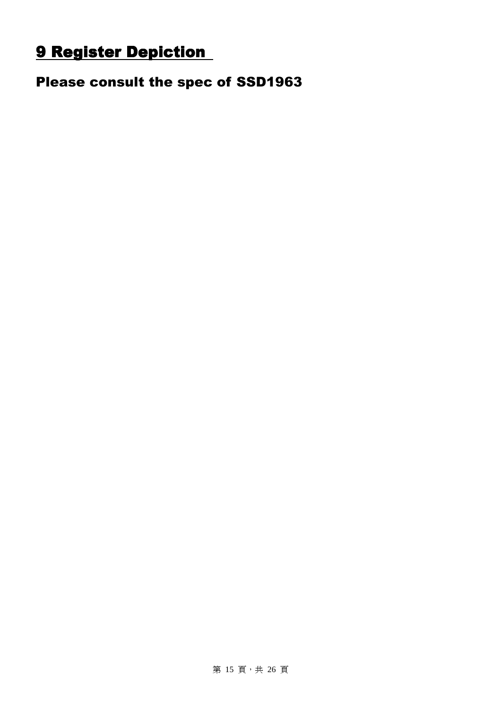### 9 Register Depiction

Please consult the spec of SSD1963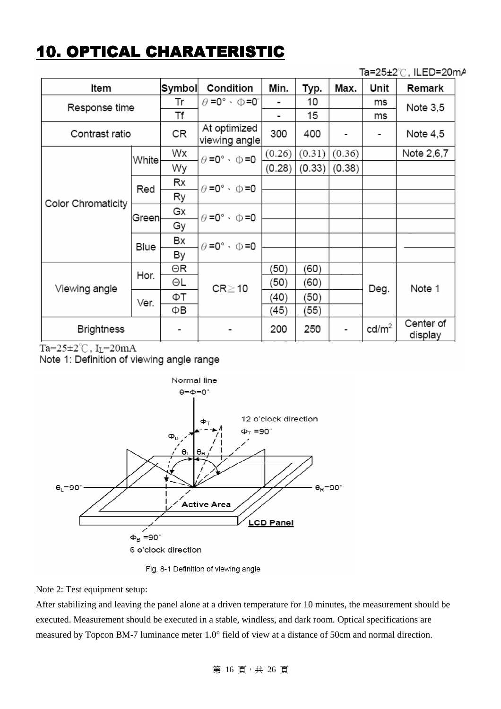### **10. OPTICAL CHARATERISTIC**

Ta=25±2℃, ILED=20mA

| ltem               | Symbol | Condition                         | Min.                                | Typ.   | Max.   | Unit   | Remark            |                      |  |
|--------------------|--------|-----------------------------------|-------------------------------------|--------|--------|--------|-------------------|----------------------|--|
| Response time      | Tr     | $\theta$ =0° $\cdot$ $\oplus$ =0° |                                     | 10     |        | ms     | Note 3,5          |                      |  |
|                    |        | Τf                                |                                     |        | 15     |        | ms                |                      |  |
| Contrast ratio     | CR     | At optimized<br>viewing angle     | 300                                 | 400    |        |        | Note 4,5          |                      |  |
|                    | White  | Wx                                | $\theta = 0^{\circ} \cdot \Phi = 0$ | (0.26) | (0.31) | (0.36) |                   | Note 2,6,7           |  |
|                    |        | Wy                                |                                     | (0.28) | (0.33) | (0.38) |                   |                      |  |
|                    | Red    | Rx                                | $\theta = 0^{\circ} \cdot \Phi = 0$ |        |        |        |                   |                      |  |
|                    |        | Ry                                |                                     |        |        |        |                   |                      |  |
| Color Chromaticity | Greenl | Gx                                | $\theta = 0^{\circ} \cdot \Phi = 0$ |        |        |        |                   |                      |  |
|                    |        | Gy                                |                                     |        |        |        |                   |                      |  |
|                    |        | Вx                                | $\theta = 0^{\circ} \cdot \Phi = 0$ |        |        |        |                   |                      |  |
|                    | Blue   | By                                |                                     |        |        |        |                   |                      |  |
|                    | Hor.   | ΘR                                |                                     | (50)   | (60)   |        |                   |                      |  |
|                    |        | ΘL                                | $CR \ge 10$                         | (50)   | (60)   |        | Deg.              | Note 1               |  |
| Viewing angle      | Ver.   | ФΤ                                |                                     | (40)   | (50)   |        |                   |                      |  |
|                    |        | ΦВ                                |                                     | (45)   | (55)   |        |                   |                      |  |
| <b>Brightness</b>  |        |                                   |                                     | 200    | 250    |        | cd/m <sup>2</sup> | Center of<br>display |  |

Ta= $25 \pm 2^{\circ}$ C, I<sub>L</sub>=20mA

Note 1: Definition of viewing angle range



Fig. 8-1 Definition of viewing angle

Note 2: Test equipment setup:

After stabilizing and leaving the panel alone at a driven temperature for 10 minutes, the measurement should be executed. Measurement should be executed in a stable, windless, and dark room. Optical specifications are measured by Topcon BM-7 luminance meter 1.0° field of view at a distance of 50cm and normal direction.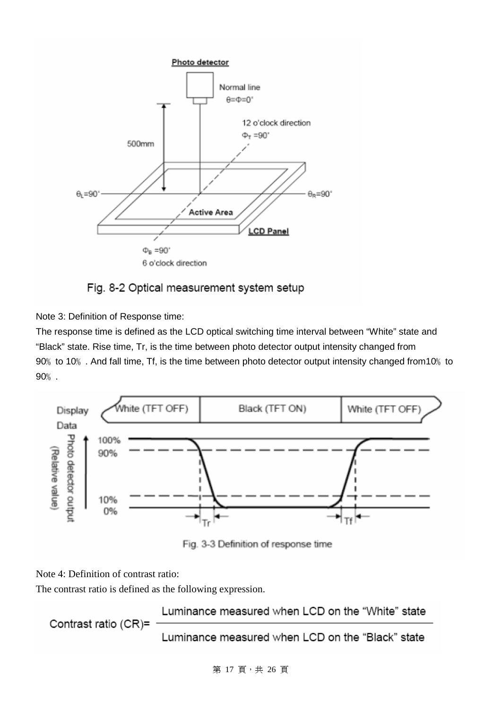



Note 3: Definition of Response time:

The response time is defined as the LCD optical switching time interval between "White" state and "Black" state. Rise time, Tr, is the time between photo detector output intensity changed from 90% to 10%. And fall time, Tf, is the time between photo detector output intensity changed from 10% to 90﹪.



Fig. 3-3 Definition of response time

Note 4: Definition of contrast ratio:

The contrast ratio is defined as the following expression.

Luminance measured when LCD on the "White" state Contrast ratio (CR)= Luminance measured when LCD on the "Black" state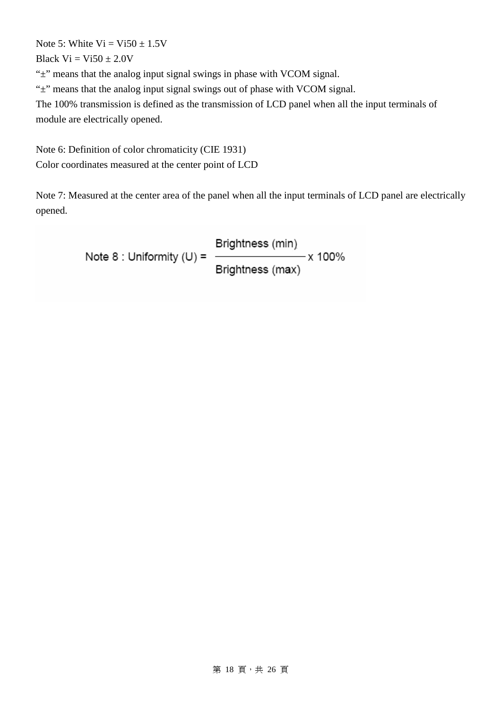Note 5: White  $Vi = Vi50 + 1.5V$ 

Black  $Vi = Vi50 \pm 2.0V$ 

"±" means that the analog input signal swings in phase with VCOM signal.

"±" means that the analog input signal swings out of phase with VCOM signal.

The 100% transmission is defined as the transmission of LCD panel when all the input terminals of module are electrically opened.

Note 6: Definition of color chromaticity (CIE 1931) Color coordinates measured at the center point of LCD

Note 7: Measured at the center area of the panel when all the input terminals of LCD panel are electrically opened.

> Brightness (min) Note 8 : Uniformity  $(U) = -$ - x 100% Brightness (max)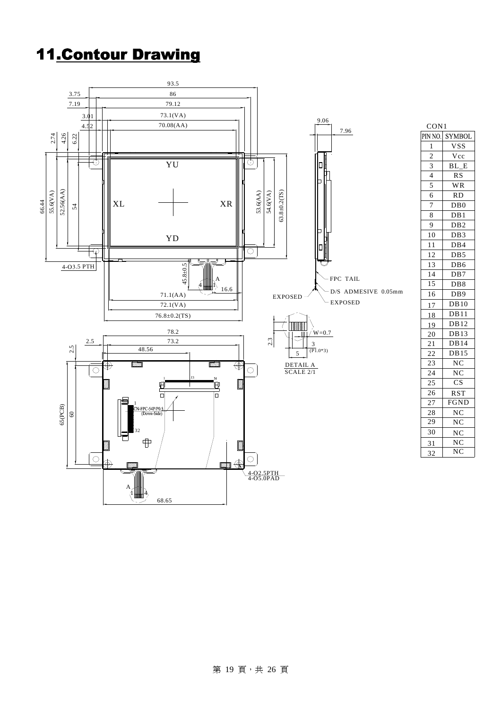### 11.Contour Drawing



 $\overline{DB7}$ D<sub>B6</sub>

D<sub>B8</sub> DB9 DB10  $DB11$ DB12 DB13 DB14 DB<sub>15</sub>  $\overline{NC}$ NC CS RST FGND NC

> NC NC

> NC NC

RD WR RS

DB0 DB1 D<sub>B2</sub> D<sub>B</sub>3 DB<sub>4</sub>

Vcc BL\_E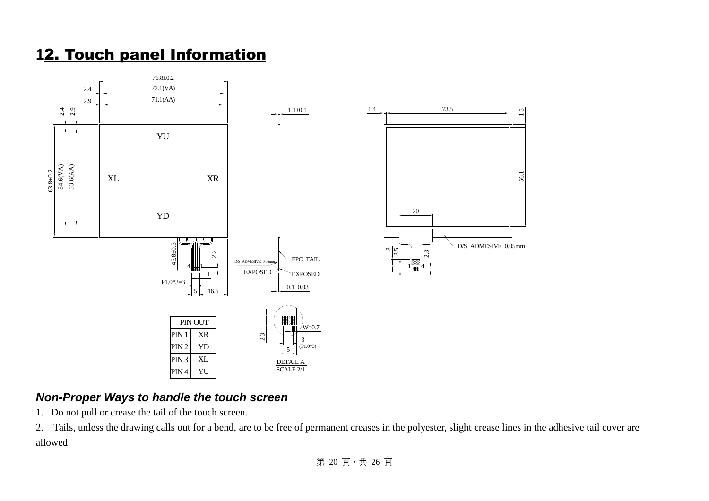### **1**2. Touch panel Information



#### **Non-Proper Ways to handle the touch screen**

1. Do not pull or crease the tail of the touch screen.

2. Tails, unless the drawing calls out for a bend, are to be free of permanent creases in the polyester, slight crease lines in the adhesive tail cover are allowed

第 20 頁,共 26 頁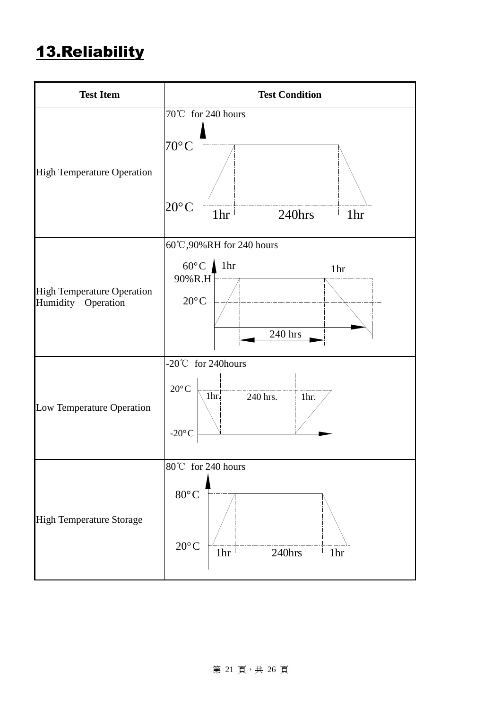### 13.Reliability

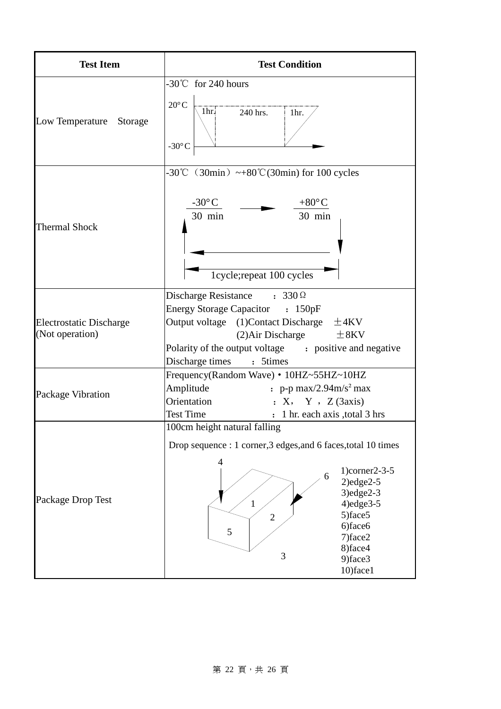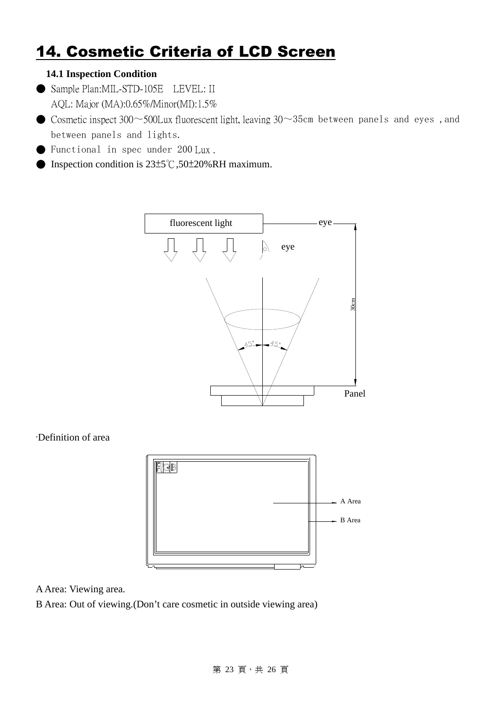### **14. Cosmetic Criteria of LCD Screen**

#### **14.1 Inspection Condition**

- Sample Plan:MIL-STD-105E LEVEL: II AQL: Major (MA):0.65%/Minor(MI):1.5%
- $\bullet$  Cosmetic inspect 300~500Lux fluorescent light, leaving 30~35cm between panels and eyes, and between panels and lights.
- Functional in spec under 200 Lux .
- Inspection condition is  $23±5^{\circ}$ C,50 $±20\%$ RH maximum.



·Definition of area



#### A Area: Viewing area.

B Area: Out of viewing.(Don't care cosmetic in outside viewing area)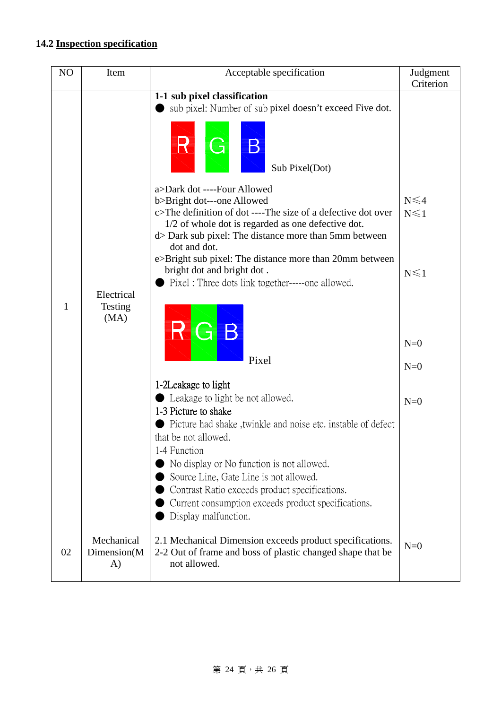#### **14.2 Inspection specification**

| N <sub>O</sub> | Item                             | Acceptable specification                                                                                                                                                                                                                                                                                                                                                                              | Judgment<br>Criterion                  |
|----------------|----------------------------------|-------------------------------------------------------------------------------------------------------------------------------------------------------------------------------------------------------------------------------------------------------------------------------------------------------------------------------------------------------------------------------------------------------|----------------------------------------|
|                |                                  | 1-1 sub pixel classification                                                                                                                                                                                                                                                                                                                                                                          |                                        |
|                |                                  | sub pixel: Number of sub pixel doesn't exceed Five dot.                                                                                                                                                                                                                                                                                                                                               |                                        |
|                |                                  | R<br>G<br>$\mathbf B$<br>Sub Pixel(Dot)                                                                                                                                                                                                                                                                                                                                                               |                                        |
|                | Electrical                       | a>Dark dot ----Four Allowed<br>b>Bright dot---one Allowed<br>c>The definition of dot ----The size of a defective dot over<br>1/2 of whole dot is regarded as one defective dot.<br>d> Dark sub pixel: The distance more than 5mm between<br>dot and dot.<br>e>Bright sub pixel: The distance more than 20mm between<br>bright dot and bright dot.<br>Pixel: Three dots link together-----one allowed. | $N \leq 4$<br>$N \leq 1$<br>$N \leq 1$ |
| 1              | Testing<br>(MA)                  | G B<br>Pixel                                                                                                                                                                                                                                                                                                                                                                                          | $N=0$<br>$N=0$                         |
|                |                                  | 1-2Leakage to light<br>Leakage to light be not allowed.<br>1-3 Picture to shake<br>Picture had shake, twinkle and noise etc. instable of defect<br>that be not allowed.<br>1-4 Function                                                                                                                                                                                                               | $N=0$                                  |
|                |                                  | No display or No function is not allowed.<br>Source Line, Gate Line is not allowed.<br>Contrast Ratio exceeds product specifications.<br>Current consumption exceeds product specifications.<br>Display malfunction.                                                                                                                                                                                  |                                        |
| 02             | Mechanical<br>Dimension(M)<br>A) | 2.1 Mechanical Dimension exceeds product specifications.<br>2-2 Out of frame and boss of plastic changed shape that be<br>not allowed.                                                                                                                                                                                                                                                                | $N=0$                                  |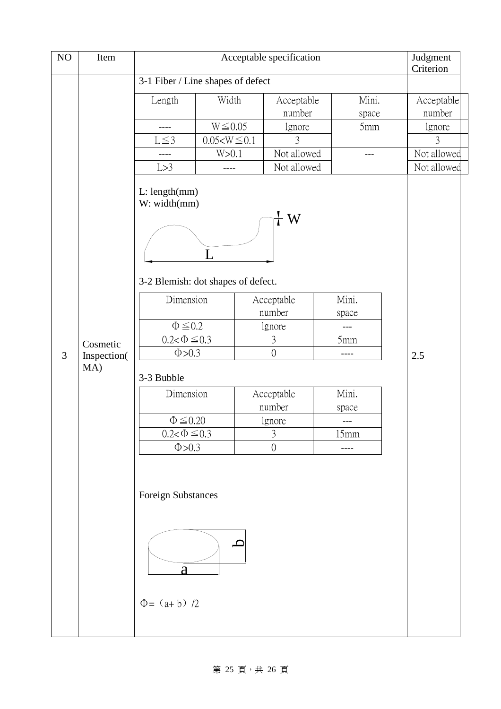| NO | Item               |                                                    | Judgment<br>Criterion              |                      |              |                      |
|----|--------------------|----------------------------------------------------|------------------------------------|----------------------|--------------|----------------------|
|    |                    | 3-1 Fiber / Line shapes of defect                  |                                    |                      |              |                      |
|    |                    | Length                                             | Width                              | Acceptable<br>number | Mini.        | Acceptable<br>number |
|    |                    | ----                                               | $W \le 0.05$                       | lgnore               | space<br>5mm | lgnore               |
|    |                    | $L \leq 3$                                         | $0.05 < W \le 0.1$                 | 3                    |              | 3                    |
|    |                    | ----                                               | W>0.1                              | Not allowed          | ---          | Not allowed          |
|    |                    | L > 3                                              | ----                               | Not allowed          |              | Not allowed          |
|    |                    | L: length(mm)<br>W: width(mm)                      |                                    |                      |              |                      |
|    |                    |                                                    | 3-2 Blemish: dot shapes of defect. |                      |              |                      |
|    |                    | Dimension                                          |                                    | Acceptable           | Mini.        |                      |
|    |                    |                                                    |                                    | number               | space        |                      |
|    |                    | $\Phi \leq 0.2$                                    |                                    | lgnore               | ---          |                      |
|    | Cosmetic           | $0.2 < \Phi \le 0.3$                               |                                    | 3                    | 5mm          |                      |
| 3  | Inspection(<br>MA) | $\Phi > 0.3$                                       |                                    | $\overline{0}$       | ----         | 2.5                  |
|    |                    | 3-3 Bubble                                         |                                    |                      |              |                      |
|    |                    | Dimension                                          |                                    | Acceptable           | Mini.        |                      |
|    |                    |                                                    |                                    | number               | space        |                      |
|    |                    | $\Phi \leq 0.20$                                   |                                    | lgnore               | ---          |                      |
|    |                    | $0.2<\Phi\leq 0.3$                                 |                                    | $\mathfrak{Z}$       | 15mm         |                      |
|    |                    | $\Phi > 0.3$                                       |                                    | $\overline{0}$       | ----         |                      |
|    |                    | <b>Foreign Substances</b><br>a<br>$\Phi = (a+b)/2$ | $\mathbf C$                        |                      |              |                      |